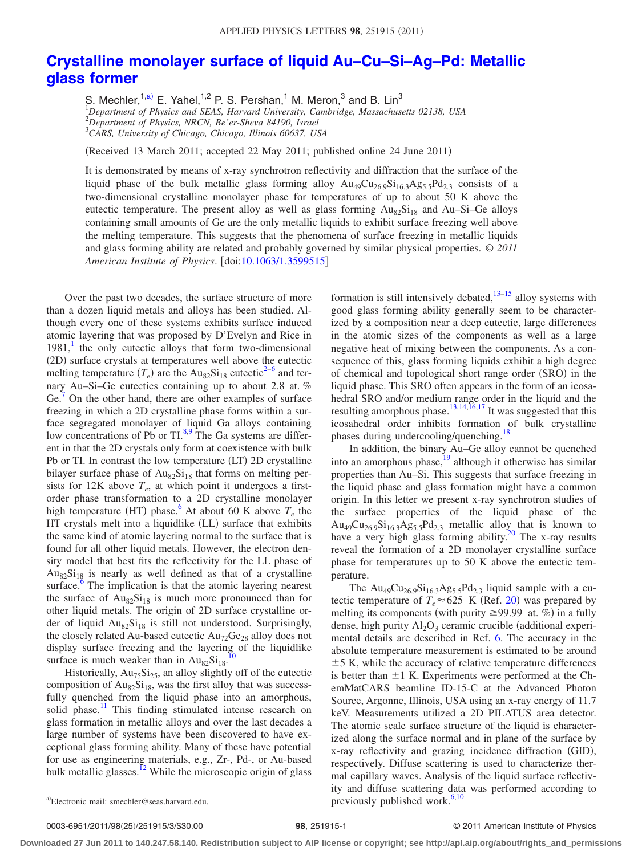## **[Crystalline monolayer surface of liquid Au–Cu–Si–Ag–Pd: Metallic](http://dx.doi.org/10.1063/1.3599515) [glass former](http://dx.doi.org/10.1063/1.3599515)**

S. Mechler,  $1, a)$  E. Yahel,  $1, 2$  P. S. Pershan,  $1$  M. Meron,  $3$  and B. Lin $3$  *Department of Physics and SEAS, Harvard University, Cambridge, Massachusetts 02138, USA Department of Physics, NRCN, Be'er-Sheva 84190, Israel CARS, University of Chicago, Chicago, Illinois 60637, USA*

(Received 13 March 2011; accepted 22 May 2011; published online 24 June 2011)

It is demonstrated by means of x-ray synchrotron reflectivity and diffraction that the surface of the liquid phase of the bulk metallic glass forming alloy  $Au_{49}Cu_{26.9}Si_{16.3}Ag_{5.5}Pd_{2.3}$  consists of a two-dimensional crystalline monolayer phase for temperatures of up to about 50 K above the eutectic temperature. The present alloy as well as glass forming  $Au_{82}Si_{18}$  and  $Au-Si-Ge$  alloys containing small amounts of Ge are the only metallic liquids to exhibit surface freezing well above the melting temperature. This suggests that the phenomena of surface freezing in metallic liquids and glass forming ability are related and probably governed by similar physical properties. © *2011 American Institute of Physics*. doi[:10.1063/1.3599515](http://dx.doi.org/10.1063/1.3599515)

Over the past two decades, the surface structure of more than a dozen liquid metals and alloys has been studied. Although every one of these systems exhibits surface induced atomic layering that was proposed by D'Evelyn and Rice in  $1981$  $1981$ , the only eutectic alloys that form two-dimensional (2D) surface crystals at temperatures well above the eutectic melting temperature  $(T_e)$  are the Au<sub>82</sub>Si<sub>18</sub> eutectic<sup>2[–6](#page-2-2)</sup> and ternary Au–Si–Ge eutectics containing up to about 2.8 at. % Ge.<sup>[7](#page-2-3)</sup> On the other hand, there are other examples of surface freezing in which a 2D crystalline phase forms within a surface segregated monolayer of liquid Ga alloys containing low concentrations of Pb or  $TI^{8,9}$  $TI^{8,9}$  $TI^{8,9}$ . The Ga systems are different in that the 2D crystals only form at coexistence with bulk Pb or TI. In contrast the low temperature (LT) 2D crystalline bilayer surface phase of  $Au_{82}Si_{18}$  that forms on melting persists for 12K above  $T_e$ , at which point it undergoes a firstorder phase transformation to a 2D crystalline monolayer high temperature (HT) phase.<sup>6</sup> At about 60 K above  $T_e$  the HT crystals melt into a liquidlike (LL) surface that exhibits the same kind of atomic layering normal to the surface that is found for all other liquid metals. However, the electron density model that best fits the reflectivity for the LL phase of  $Au_{82}Si_{18}$  is nearly as well defined as that of a crystalline surface.<sup>6</sup> The implication is that the atomic layering nearest the surface of  $Au_{82}Si_{18}$  is much more pronounced than for other liquid metals. The origin of 2D surface crystalline order of liquid  $Au_{82}Si_{18}$  is still not understood. Surprisingly, the closely related Au-based eutectic  $Au_{72}Ge_{28}$  alloy does not display surface freezing and the layering of the liquidlike<br>surface is much weaker than in  $\Delta y$ . Si surface is much weaker than in  $Au_{82}Si_{18}$ .

Historically,  $Au_{75}Si_{25}$ , an alloy slightly off of the eutectic composition of  $Au_{82}Si_{18}$ , was the first alloy that was successfully quenched from the liquid phase into an amorphous, solid phase.<sup>11</sup> This finding stimulated intense research on glass formation in metallic alloys and over the last decades a large number of systems have been discovered to have exceptional glass forming ability. Many of these have potential for use as engineering materials, e.g., Zr-, Pd-, or Au-based bulk metallic glasses.<sup>12</sup> While the microscopic origin of glass formation is still intensively debated, $13-15$  alloy systems with good glass forming ability generally seem to be characterized by a composition near a deep eutectic, large differences in the atomic sizes of the components as well as a large negative heat of mixing between the components. As a consequence of this, glass forming liquids exhibit a high degree of chemical and topological short range order (SRO) in the liquid phase. This SRO often appears in the form of an icosahedral SRO and/or medium range order in the liquid and the resulting amorphous phase.<sup>13,[14](#page-2-11)[,16](#page-2-12)[,17](#page-2-13)</sup> It was suggested that this icosahedral order inhibits formation of bulk crystalline phases during undercooling/quenching.<sup>18</sup>

In addition, the binary Au–Ge alloy cannot be quenched into an amorphous phase,<sup>19</sup> although it otherwise has similar properties than Au–Si. This suggests that surface freezing in the liquid phase and glass formation might have a common origin. In this letter we present x-ray synchrotron studies of the surface properties of the liquid phase of the  $Au_{49}Cu_{26.9}Si_{16.3}Ag_{5.5}Pd_{2.3}$  metallic alloy that is known to have a very high glass forming ability.<sup>20</sup> The x-ray results reveal the formation of a 2D monolayer crystalline surface phase for temperatures up to 50 K above the eutectic temperature.

The  $\text{Au}_{49}\text{Cu}_{26.9}\text{Si}_{16.3}\text{Ag}_{5.5}\text{Pd}_{2.3}$  liquid sample with a eutectic temperature of  $T_e \approx 625$  K (Ref. [20](#page-2-16)) was prepared by melting its components (with purity  $\geq$ 99.99 at. %) in a fully dense, high purity  $Al_2O_3$  ceramic crucible (additional experimental details are described in Ref. [6.](#page-2-2) The accuracy in the absolute temperature measurement is estimated to be around  $\pm$  5 K, while the accuracy of relative temperature differences is better than  $\pm 1$  K. Experiments were performed at the ChemMatCARS beamline ID-15-C at the Advanced Photon Source, Argonne, Illinois, USA using an x-ray energy of 11.7 keV. Measurements utilized a 2D PILATUS area detector. The atomic scale surface structure of the liquid is characterized along the surface normal and in plane of the surface by x-ray reflectivity and grazing incidence diffraction (GID), respectively. Diffuse scattering is used to characterize thermal capillary waves. Analysis of the liquid surface reflectivity and diffuse scattering data was performed according to a)Electronic mail: smechler@seas.harvard.edu. previously published work.<sup>[6](#page-2-2)[,10](#page-2-6)</sup>

0003-6951/2011/98(25)/251915/3/\$30.00

## /251915/3/\$30.00 © 2011 American Institute of Physics **98**, 251915-1

**Downloaded 27 Jun 2011 to 140.247.58.140. Redistribution subject to AIP license or copyright; see http://apl.aip.org/about/rights\_and\_permissions**

<span id="page-0-0"></span>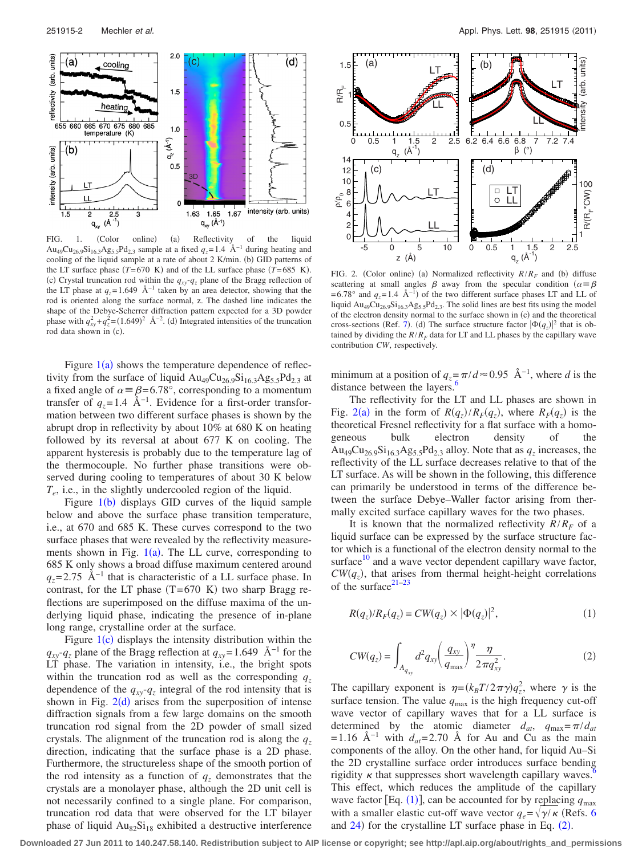<span id="page-1-0"></span>

FIG. 1. (Color online) (a) Reflectivity of the liquid  $(Color \quad online) \quad (a)$ Au<sub>49</sub>Cu<sub>26.9</sub>Si<sub>16.3</sub>Ag<sub>5.5</sub>Pd<sub>2.3</sub> sample at a fixed  $q_z$ =1.4 Å<sup>-1</sup> during heating and cooling of the liquid sample at a rate of about 2 K/min. (b) GID patterns of the LT surface phase  $(T=670 \text{ K})$  and of the LL surface phase  $(T=685 \text{ K})$ . (c) Crystal truncation rod within the  $q_{xy} - q_z$  plane of the Bragg reflection of the LT phase at  $q_z$ = 1.649 Å<sup>-1</sup> taken by an area detector, showing that the rod is oriented along the surface normal, z. The dashed line indicates the shape of the Debye-Scherrer diffraction pattern expected for a 3D powder phase with  $q_{xy}^2 + q_z^2 = (1.649)^2$  Å<sup>-2</sup>. (d) Integrated intensities of the truncation rod data shown in (c).

Figure  $1(a)$  $1(a)$  shows the temperature dependence of reflectivity from the surface of liquid  $Au_{49}Cu_{26.9}Si_{16.3}Ag_{5.5}Pd_{2.3}$  at a fixed angle of  $\alpha = \beta = 6.78^{\circ}$ , corresponding to a momentum transfer of  $q_z$ =1.4 Å<sup>-1</sup>. Evidence for a first-order transformation between two different surface phases is shown by the abrupt drop in reflectivity by about 10% at 680 K on heating followed by its reversal at about 677 K on cooling. The apparent hysteresis is probably due to the temperature lag of the thermocouple. No further phase transitions were observed during cooling to temperatures of about 30 K below *Te*, i.e., in the slightly undercooled region of the liquid.

Figure  $1(b)$  $1(b)$  displays GID curves of the liquid sample below and above the surface phase transition temperature, i.e., at 670 and 685 K. These curves correspond to the two surface phases that were revealed by the reflectivity measurements shown in Fig.  $1(a)$  $1(a)$ . The LL curve, corresponding to 685 K only shows a broad diffuse maximum centered around  $q_z$ = 2.75 Å<sup>-1</sup> that is characteristic of a LL surface phase. In contrast, for the LT phase  $(T= 670 \text{ K})$  two sharp Bragg reflections are superimposed on the diffuse maxima of the underlying liquid phase, indicating the presence of in-plane long range, crystalline order at the surface.

Figure  $1(c)$  $1(c)$  displays the intensity distribution within the  $q_{xy}$ - $q_{z}$  plane of the Bragg reflection at  $q_{xy}$ = 1.649 Å<sup>-1</sup> for the LT phase. The variation in intensity, i.e., the bright spots within the truncation rod as well as the corresponding  $q_z$ dependence of the  $q_{xy} - q_z$  integral of the rod intensity that is shown in Fig.  $2(d)$  $2(d)$  arises from the superposition of intense diffraction signals from a few large domains on the smooth truncation rod signal from the 2D powder of small sized crystals. The alignment of the truncation rod is along the  $q<sub>z</sub>$ direction, indicating that the surface phase is a 2D phase. Furthermore, the structureless shape of the smooth portion of the rod intensity as a function of  $q<sub>z</sub>$  demonstrates that the crystals are a monolayer phase, although the 2D unit cell is not necessarily confined to a single plane. For comparison, truncation rod data that were observed for the LT bilayer phase of liquid  $Au_{82}Si_{18}$  exhibited a destructive interference

<span id="page-1-1"></span>

FIG. 2. (Color online) (a) Normalized reflectivity  $R/R_F$  and (b) diffuse scattering at small angles  $\beta$  away from the specular condition  $(\alpha = \beta$  $= 6.78°$  and  $q_z = 1.4 \text{ Å}^{-1}$  of the two different surface phases LT and LL of liquid  $Au_{49}Cu_{26.9}Si_{16.3}Ag_{5.5}Pd_{2.3}$ . The solid lines are best fits using the model of the electron density normal to the surface shown in  $(c)$  and the theoretical cross-sections (Ref. [7](#page-2-3)). (d) The surface structure factor  $|\Phi(q_z)|^2$  that is obtained by dividing the  $R/R_F$  data for LT and LL phases by the capillary wave contribution *CW*, respectively.

minimum at a position of  $q_z = \pi/d \approx 0.95$  Å<sup>-1</sup>, where *d* is the distance between the layers.<sup>4</sup>

The reflectivity for the LT and LL phases are shown in Fig. [2](#page-1-1)(a) in the form of  $R(q_z)/R_F(q_z)$ , where  $R_F(q_z)$  is the theoretical Fresnel reflectivity for a flat surface with a homogeneous bulk electron density of the Au<sub>49</sub>Cu<sub>26.9</sub>Si<sub>16.3</sub>Ag<sub>5.5</sub>Pd<sub>2.3</sub> alloy. Note that as  $q_z$  increases, the reflectivity of the LL surface decreases relative to that of the LT surface. As will be shown in the following, this difference can primarily be understood in terms of the difference between the surface Debye–Waller factor arising from thermally excited surface capillary waves for the two phases.

It is known that the normalized reflectivity  $R/R_F$  of a liquid surface can be expressed by the surface structure factor which is a functional of the electron density normal to the surface $10$  and a wave vector dependent capillary wave factor,  $CW(q_z)$ , that arises from thermal height-height correlations of the surface $21-23$ 

<span id="page-1-3"></span><span id="page-1-2"></span>
$$
R(q_z)/R_F(q_z) = CW(q_z) \times |\Phi(q_z)|^2,
$$
 (1)

$$
CW(q_z) = \int_{A_{q_{xy}}} d^2q_{xy} \left(\frac{q_{xy}}{q_{\text{max}}}\right)^{\eta} \frac{\eta}{2\pi q_{xy}^2}.
$$
 (2)

The capillary exponent is  $\eta = (k_B T / 2 \pi \gamma) q_z^2$ , where  $\gamma$  is the surface tension. The value  $q_{\text{max}}$  is the high frequency cut-off wave vector of capillary waves that for a LL surface is determined by the atomic diameter  $d_{at}$ ,  $q_{\text{max}} = \pi / d_{at}$ = 1.16 Å<sup>-1</sup> with  $d_{at}$ = 2.70 Å for Au and Cu as the main components of the alloy. On the other hand, for liquid Au–Si the 2D crystalline surface order introduces surface bending rigidity  $\kappa$  that suppresses short wavelength capillary waves.<sup>6</sup> This effect, which reduces the amplitude of the capillary wave factor [Eq.  $(1)$  $(1)$  $(1)$ ], can be accounted for by replacing  $q_{\text{max}}$ with a smaller elastic cut-off wave vector  $q_e = \sqrt{\gamma/\kappa}$  (Refs. [6](#page-2-2)) and  $24$ ) for the crystalline LT surface phase in Eq.  $(2)$  $(2)$  $(2)$ .

**Downloaded 27 Jun 2011 to 140.247.58.140. Redistribution subject to AIP license or copyright; see http://apl.aip.org/about/rights\_and\_permissions**